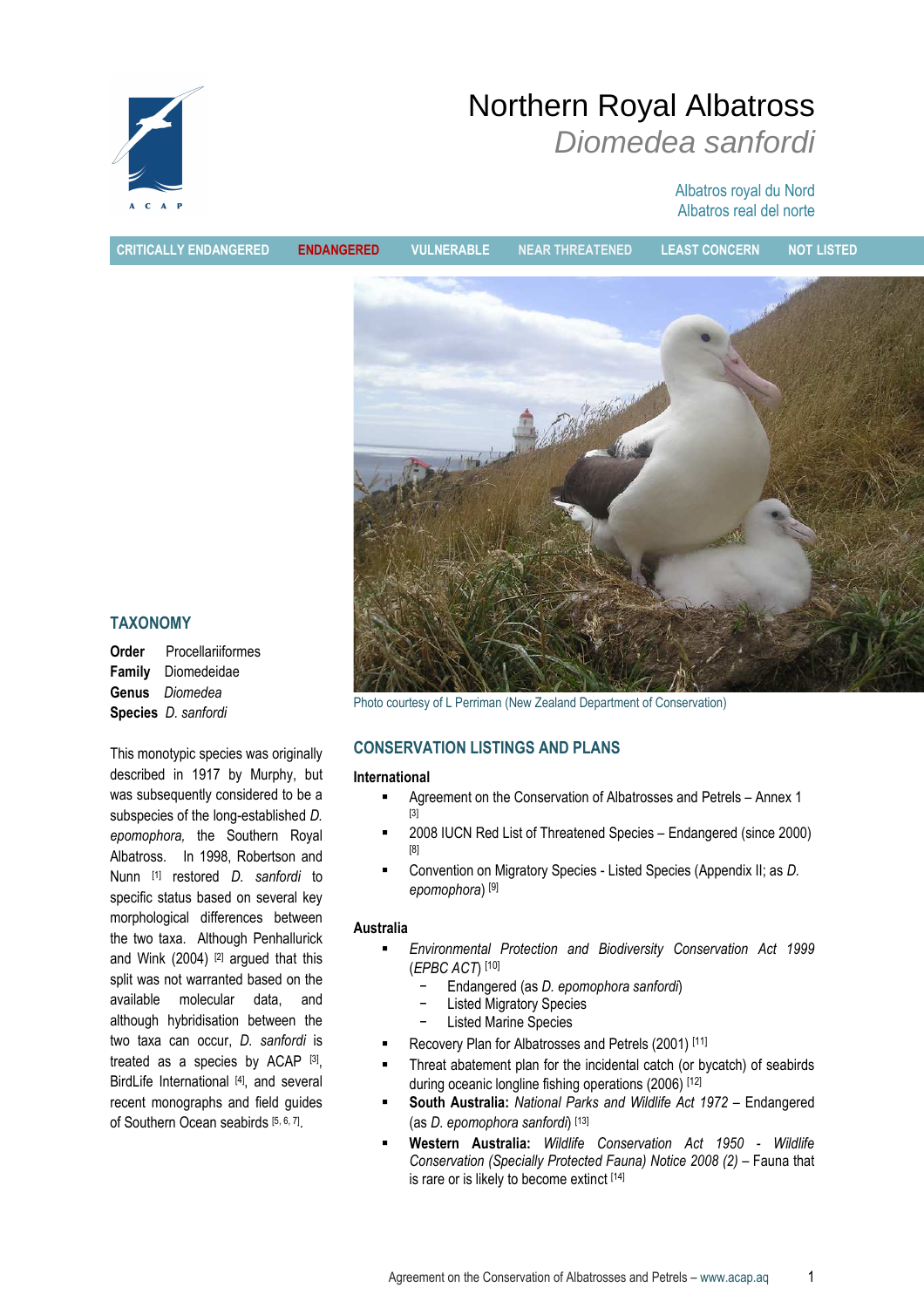

# Northern Royal Albatross Diomedea sanfordi

## Albatros royal du Nord Albatros real del norte

CRITICALLY ENDANGERED ENDANGERED VULNERABLE NEAR THREATENED LEAST CONCERN NOT LISTED



TAXONOMY

| Order | Procellariiformes                 |
|-------|-----------------------------------|
|       | <b>Family</b> Diomedeidae         |
|       | <b>Genus</b> Diomedea             |
|       | <b>Species</b> <i>D. sanfordi</i> |

This monotypic species was originally described in 1917 by Murphy, but was subsequently considered to be a subspecies of the long-established D. epomophora, the Southern Royal Albatross. In 1998, Robertson and Nunn [1] restored *D. sanfordi* to specific status based on several key morphological differences between the two taxa. Although Penhallurick and Wink  $(2004)$  <sup>[2]</sup> argued that this split was not warranted based on the available molecular data, and although hybridisation between the two taxa can occur, D. sanfordi is treated as a species by ACAP [3], BirdLife International [4], and several recent monographs and field guides of Southern Ocean seabirds [5, 6, 7].

Photo courtesy of L Perriman (New Zealand Department of Conservation)

## CONSERVATION LISTINGS AND PLANS

#### International

- Agreement on the Conservation of Albatrosses and Petrels Annex 1 [3]
- 2008 IUCN Red List of Threatened Species Endangered (since 2000) [8]
- Convention on Migratory Species Listed Species (Appendix II; as D. epomophora) [9]

## Australia

- Environmental Protection and Biodiversity Conservation Act 1999 (EPBC ACT) [10]
	- − Endangered (as D. epomophora sanfordi)
	- − Listed Migratory Species
	- Listed Marine Species
- Recovery Plan for Albatrosses and Petrels (2001) [11]
- Threat abatement plan for the incidental catch (or bycatch) of seabirds during oceanic longline fishing operations (2006) [12]
- South Australia: National Parks and Wildlife Act 1972 Endangered (as D. epomophora sanfordi) [13]
- Western Australia: Wildlife Conservation Act 1950 Wildlife Conservation (Specially Protected Fauna) Notice 2008 (2) – Fauna that is rare or is likely to become extinct [14]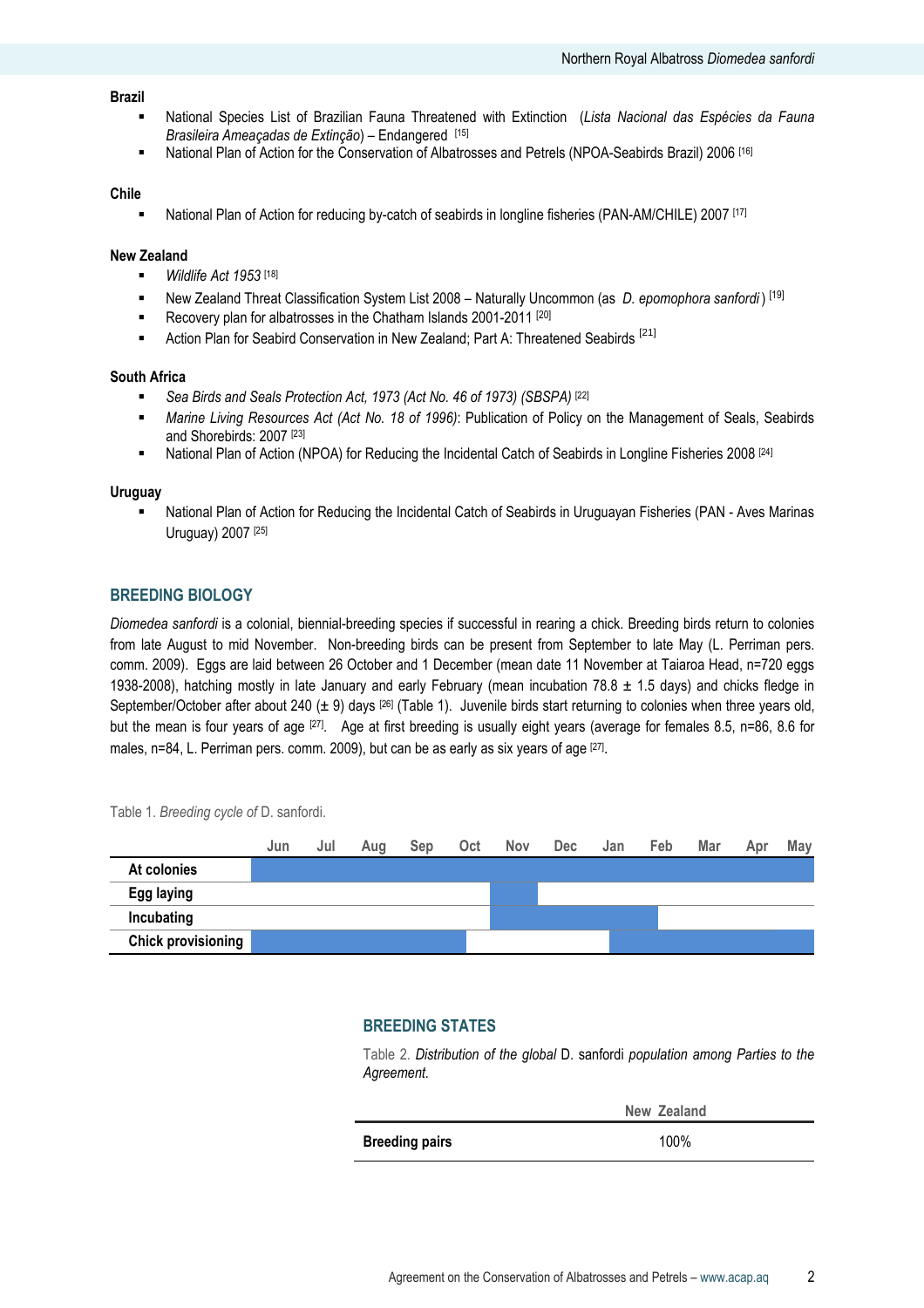#### Brazil

- National Species List of Brazilian Fauna Threatened with Extinction (Lista Nacional das Espécies da Fauna Brasileira Ameacadas de Extinção) – Endangered [15]
- National Plan of Action for the Conservation of Albatrosses and Petrels (NPOA-Seabirds Brazil) 2006 [16]

#### Chile

National Plan of Action for reducing by-catch of seabirds in longline fisheries (PAN-AM/CHILE) 2007 [17]

#### New Zealand

- $Wildlife$  Act 1953<sup>[18]</sup>
- New Zealand Threat Classification System List 2008 Naturally Uncommon (as  $D$ . epomophora sanfordi) [19]
- Recovery plan for albatrosses in the Chatham Islands 2001-2011<sup>[20]</sup>
- Action Plan for Seabird Conservation in New Zealand; Part A: Threatened Seabirds<sup>[21]</sup>

#### South Africa

- Sea Birds and Seals Protection Act, 1973 (Act No. 46 of 1973) (SBSPA) [22]
- Marine Living Resources Act (Act No. 18 of 1996): Publication of Policy on the Management of Seals, Seabirds and Shorebirds: 2007 [23]
- National Plan of Action (NPOA) for Reducing the Incidental Catch of Seabirds in Longline Fisheries 2008 [24]

#### **Uruguay**

 National Plan of Action for Reducing the Incidental Catch of Seabirds in Uruguayan Fisheries (PAN - Aves Marinas Uruguay) 2007 [25]

## BREEDING BIOLOGY

Diomedea sanfordi is a colonial, biennial-breeding species if successful in rearing a chick. Breeding birds return to colonies from late August to mid November. Non-breeding birds can be present from September to late May (L. Perriman pers. comm. 2009). Eggs are laid between 26 October and 1 December (mean date 11 November at Taiaroa Head, n=720 eggs 1938-2008), hatching mostly in late January and early February (mean incubation  $78.8 \pm 1.5$  days) and chicks fledge in September/October after about 240 ( $\pm$  9) days [26] (Table 1). Juvenile birds start returning to colonies when three years old, but the mean is four years of age [27]. Age at first breeding is usually eight years (average for females 8.5, n=86, 8.6 for males, n=84, L. Perriman pers. comm. 2009), but can be as early as six years of age [27].

 Jun Jul Aug Sep Oct Nov Dec Jan Feb Mar Apr May At colonies Egg laying Incubating Chick provisioning

Table 1. Breeding cycle of D. sanfordi.

#### BREEDING STATES

Table 2. Distribution of the global D. sanfordi population among Parties to the Agreement.

|                       | New Zealand |
|-----------------------|-------------|
| <b>Breeding pairs</b> | 100%        |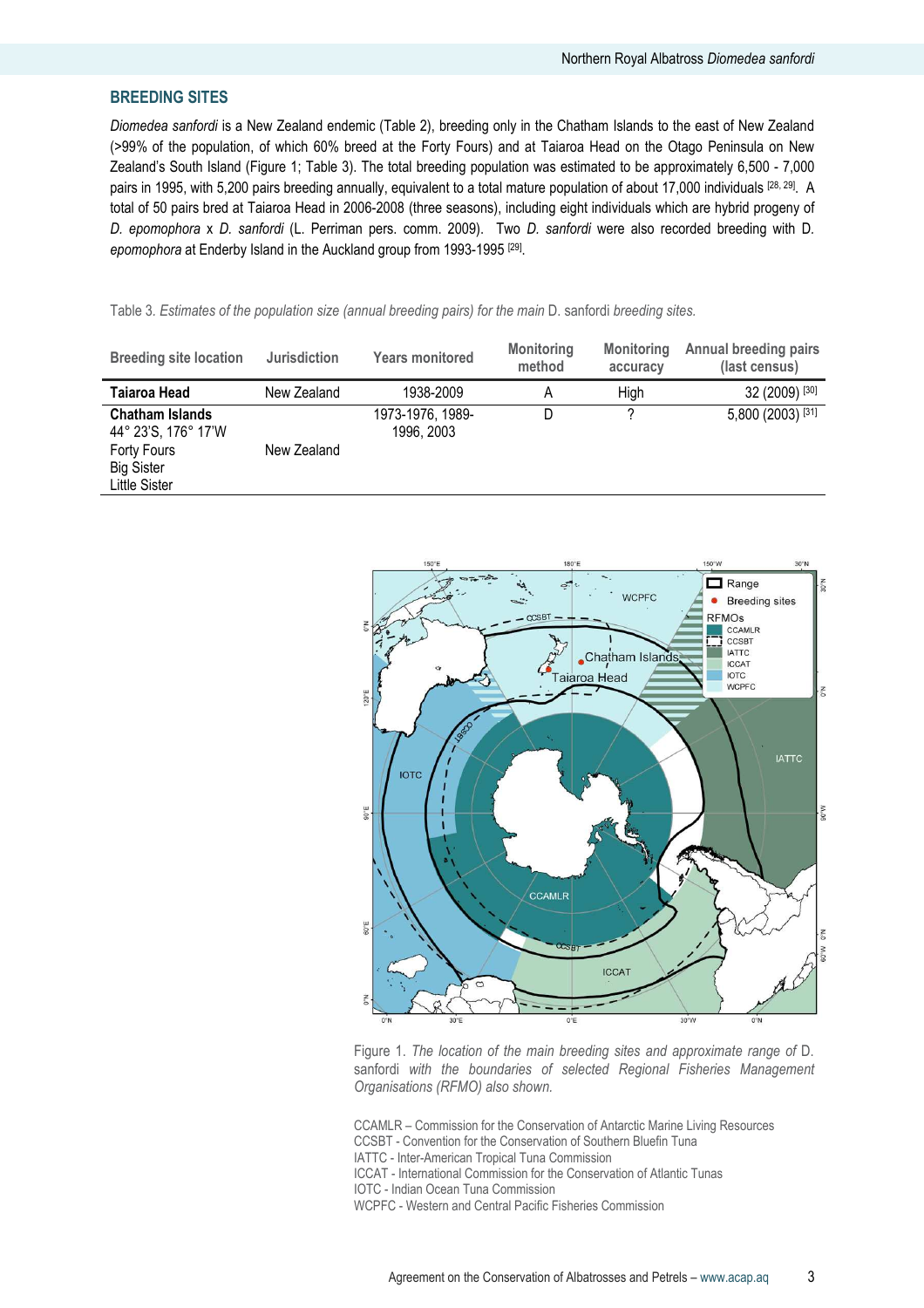## BREEDING SITES

Diomedea sanfordi is a New Zealand endemic (Table 2), breeding only in the Chatham Islands to the east of New Zealand (>99% of the population, of which 60% breed at the Forty Fours) and at Taiaroa Head on the Otago Peninsula on New Zealand's South Island (Figure 1; Table 3). The total breeding population was estimated to be approximately 6,500 - 7,000 pairs in 1995, with 5,200 pairs breeding annually, equivalent to a total mature population of about 17,000 individuals [28, 29]. A total of 50 pairs bred at Taiaroa Head in 2006-2008 (three seasons), including eight individuals which are hybrid progeny of D. epomophora x D. sanfordi (L. Perriman pers. comm. 2009). Two D. sanfordi were also recorded breeding with D. epomophora at Enderby Island in the Auckland group from 1993-1995 [29].

Table 3. Estimates of the population size (annual breeding pairs) for the main D. sanfordi breeding sites.

| <b>Breeding site location</b>                            | <b>Jurisdiction</b> | <b>Years monitored</b>         | <b>Monitoring</b><br>method | <b>Monitoring</b><br>accuracy | <b>Annual breeding pairs</b><br>(last census) |
|----------------------------------------------------------|---------------------|--------------------------------|-----------------------------|-------------------------------|-----------------------------------------------|
| Taiaroa Head                                             | New Zealand         | 1938-2009                      | Α                           | High                          | 32 (2009) [30]                                |
| <b>Chatham Islands</b><br>44° 23'S, 176° 17'W            |                     | 1973-1976, 1989-<br>1996, 2003 | D                           |                               | 5,800 (2003) [31]                             |
| Forty Fours<br><b>Big Sister</b><br><b>Little Sister</b> | New Zealand         |                                |                             |                               |                                               |



Figure 1. The location of the main breeding sites and approximate range of D. sanfordi with the boundaries of selected Regional Fisheries Management Organisations (RFMO) also shown.

CCAMLR – Commission for the Conservation of Antarctic Marine Living Resources CCSBT - Convention for the Conservation of Southern Bluefin Tuna

IATTC - Inter-American Tropical Tuna Commission

ICCAT - International Commission for the Conservation of Atlantic Tunas

IOTC - Indian Ocean Tuna Commission

WCPFC - Western and Central Pacific Fisheries Commission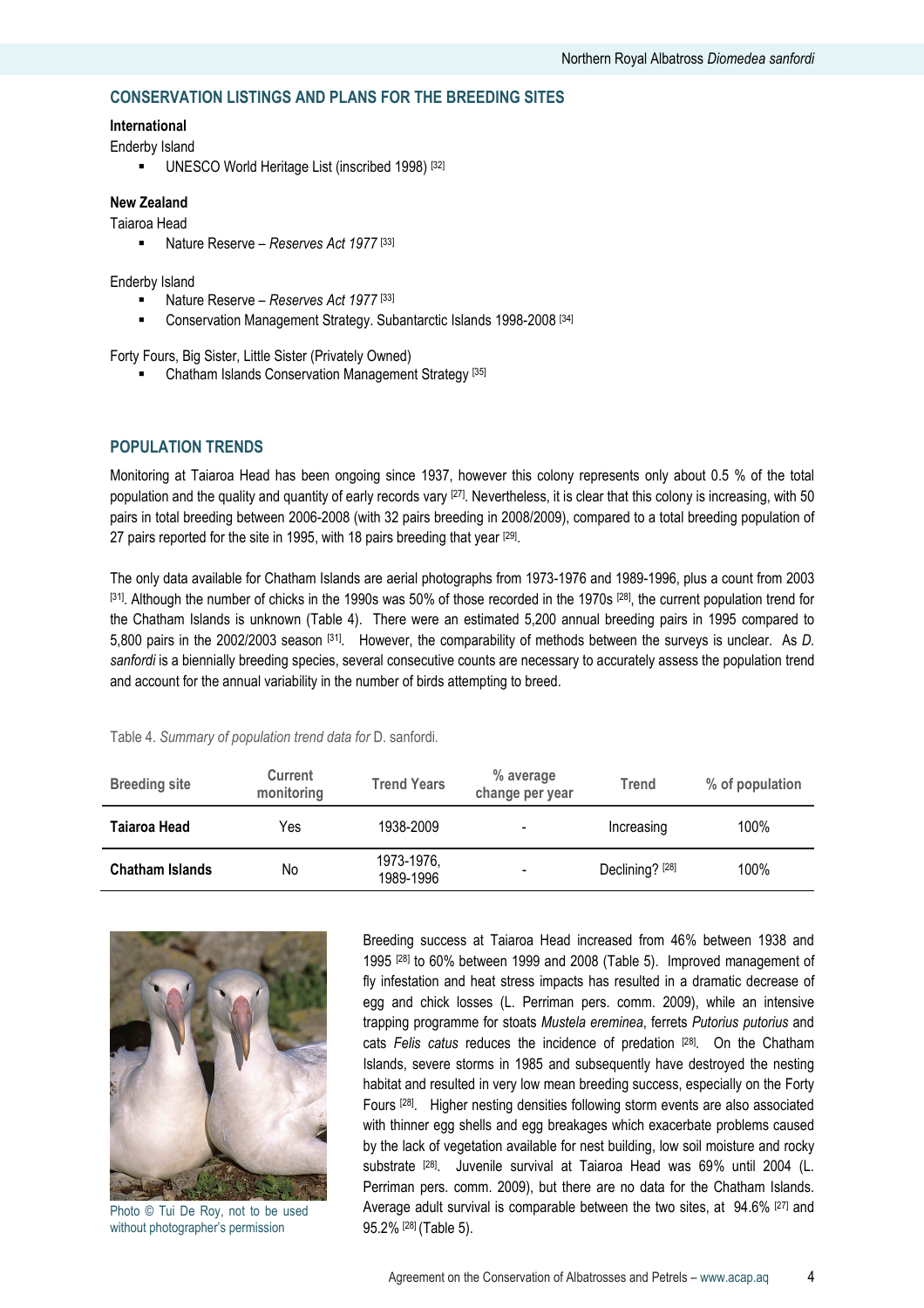## CONSERVATION LISTINGS AND PLANS FOR THE BREEDING SITES

#### International

Enderby Island

UNESCO World Heritage List (inscribed 1998) [32]

## New Zealand

Taiaroa Head

Nature Reserve – Reserves Act 1977<sup>[33]</sup>

#### Enderby Island

- Nature Reserve Reserves Act 1977 [33]
- **EXECONSERVATION Management Strategy. Subantarctic Islands 1998-2008** [34]

Forty Fours, Big Sister, Little Sister (Privately Owned)

Chatham Islands Conservation Management Strategy [35]

## POPULATION TRENDS

Monitoring at Taiaroa Head has been ongoing since 1937, however this colony represents only about 0.5 % of the total population and the quality and quantity of early records vary [27]. Nevertheless, it is clear that this colony is increasing, with 50 pairs in total breeding between 2006-2008 (with 32 pairs breeding in 2008/2009), compared to a total breeding population of 27 pairs reported for the site in 1995, with 18 pairs breeding that year <sup>[29]</sup>.

The only data available for Chatham Islands are aerial photographs from 1973-1976 and 1989-1996, plus a count from 2003 [31]. Although the number of chicks in the 1990s was 50% of those recorded in the 1970s [28], the current population trend for the Chatham Islands is unknown (Table 4). There were an estimated 5,200 annual breeding pairs in 1995 compared to 5,800 pairs in the 2002/2003 season [31]. However, the comparability of methods between the surveys is unclear. As D. sanfordi is a biennially breeding species, several consecutive counts are necessary to accurately assess the population trend and account for the annual variability in the number of birds attempting to breed.

| <b>Breeding site</b>   | <b>Current</b><br>monitoring | <b>Trend Years</b>      | % average<br>change per year | Trend                      | % of population |
|------------------------|------------------------------|-------------------------|------------------------------|----------------------------|-----------------|
| Taiaroa Head           | Yes                          | 1938-2009               |                              | Increasing                 | 100%            |
| <b>Chatham Islands</b> | No                           | 1973-1976,<br>1989-1996 | -                            | Declining? <sup>[28]</sup> | 100%            |

#### Table 4. Summary of population trend data for D. sanfordi.



Photo © Tui De Roy, not to be used without photographer's permission

Breeding success at Taiaroa Head increased from 46% between 1938 and 1995 [28] to 60% between 1999 and 2008 (Table 5). Improved management of fly infestation and heat stress impacts has resulted in a dramatic decrease of egg and chick losses (L. Perriman pers. comm. 2009), while an intensive trapping programme for stoats Mustela ereminea, ferrets Putorius putorius and cats Felis catus reduces the incidence of predation [28]. On the Chatham Islands, severe storms in 1985 and subsequently have destroyed the nesting habitat and resulted in very low mean breeding success, especially on the Forty Fours [28]. Higher nesting densities following storm events are also associated with thinner egg shells and egg breakages which exacerbate problems caused by the lack of vegetation available for nest building, low soil moisture and rocky substrate <sup>[28]</sup>. Juvenile survival at Taiaroa Head was 69% until 2004 (L. Perriman pers. comm. 2009), but there are no data for the Chatham Islands. Average adult survival is comparable between the two sites, at 94.6% [27] and 95.2% [28] (Table 5).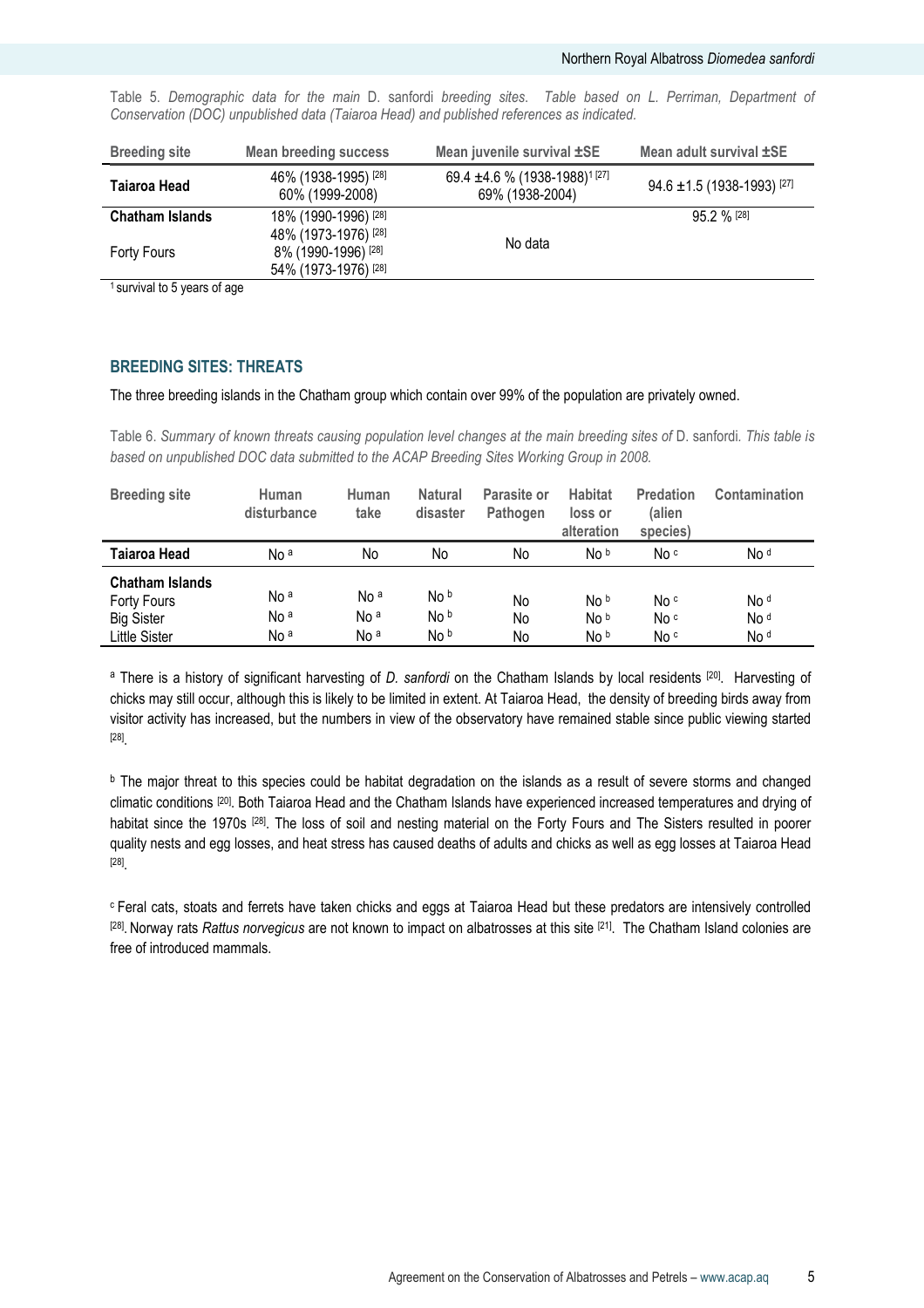| <b>Breeding site</b>   | <b>Mean breeding success</b>                | Mean juvenile survival ±SE                                                   | Mean adult survival ±SE                    |
|------------------------|---------------------------------------------|------------------------------------------------------------------------------|--------------------------------------------|
| Taiaroa Head           | 46% (1938-1995) [28]<br>60% (1999-2008)     | 69.4 $\pm$ 4.6 % (1938-1988) <sup>1</sup> <sup>[27]</sup><br>69% (1938-2004) | $94.6 \pm 1.5$ (1938-1993) <sup>[27]</sup> |
| <b>Chatham Islands</b> | 18% (1990-1996) [28]                        |                                                                              | $95.2 \%$ [28]                             |
| <b>Forty Fours</b>     | 48% (1973-1976) [28]<br>8% (1990-1996) [28] | No data                                                                      |                                            |
|                        | 54% (1973-1976) [28]                        |                                                                              |                                            |

Table 5. Demographic data for the main D. sanfordi breeding sites. Table based on L. Perriman, Department of Conservation (DOC) unpublished data (Taiaroa Head) and published references as indicated.

<sup>1</sup> survival to 5 years of age

#### BREEDING SITES: THREATS

The three breeding islands in the Chatham group which contain over 99% of the population are privately owned.

Table 6. Summary of known threats causing population level changes at the main breeding sites of D. sanfordi. This table is based on unpublished DOC data submitted to the ACAP Breeding Sites Working Group in 2008.

| <b>Breeding site</b>                                                               | Human<br>disturbance                                  | Human<br>take                                         | <b>Natural</b><br>disaster | Parasite or<br>Pathogen | <b>Habitat</b><br>loss or<br>alteration | <b>Predation</b><br>(alien<br>species) | Contamination                              |
|------------------------------------------------------------------------------------|-------------------------------------------------------|-------------------------------------------------------|----------------------------|-------------------------|-----------------------------------------|----------------------------------------|--------------------------------------------|
| Taiaroa Head                                                                       | No <sup>a</sup>                                       | No                                                    | No                         | No                      | No <sub>b</sub>                         | No c                                   | No <sup>d</sup>                            |
| <b>Chatham Islands</b><br>Forty Fours<br><b>Big Sister</b><br><b>Little Sister</b> | No <sup>a</sup><br>No <sup>a</sup><br>No <sup>a</sup> | No <sup>a</sup><br>No <sup>a</sup><br>No <sup>a</sup> | No b<br>No b<br>No b       | No<br>No<br>No          | No b<br>No b<br>No b                    | No c<br>No c<br>No <sup>c</sup>        | No <sup>d</sup><br>No d<br>No <sup>d</sup> |

<sup>a</sup> There is a history of significant harvesting of D. sanfordi on the Chatham Islands by local residents [20]. Harvesting of chicks may still occur, although this is likely to be limited in extent. At Taiaroa Head, the density of breeding birds away from visitor activity has increased, but the numbers in view of the observatory have remained stable since public viewing started [28] .

<sup>b</sup> The major threat to this species could be habitat degradation on the islands as a result of severe storms and changed climatic conditions [20]. Both Taiaroa Head and the Chatham Islands have experienced increased temperatures and drying of habitat since the 1970s [28]. The loss of soil and nesting material on the Forty Fours and The Sisters resulted in poorer quality nests and egg losses, and heat stress has caused deaths of adults and chicks as well as egg losses at Taiaroa Head [28] .

<sup>c</sup>Feral cats, stoats and ferrets have taken chicks and eggs at Taiaroa Head but these predators are intensively controlled <sup>[28]</sup>. Norway rats *Rattus norvegicus* are not known to impact on albatrosses at this site <sup>[21]</sup>. The Chatham Island colonies are free of introduced mammals.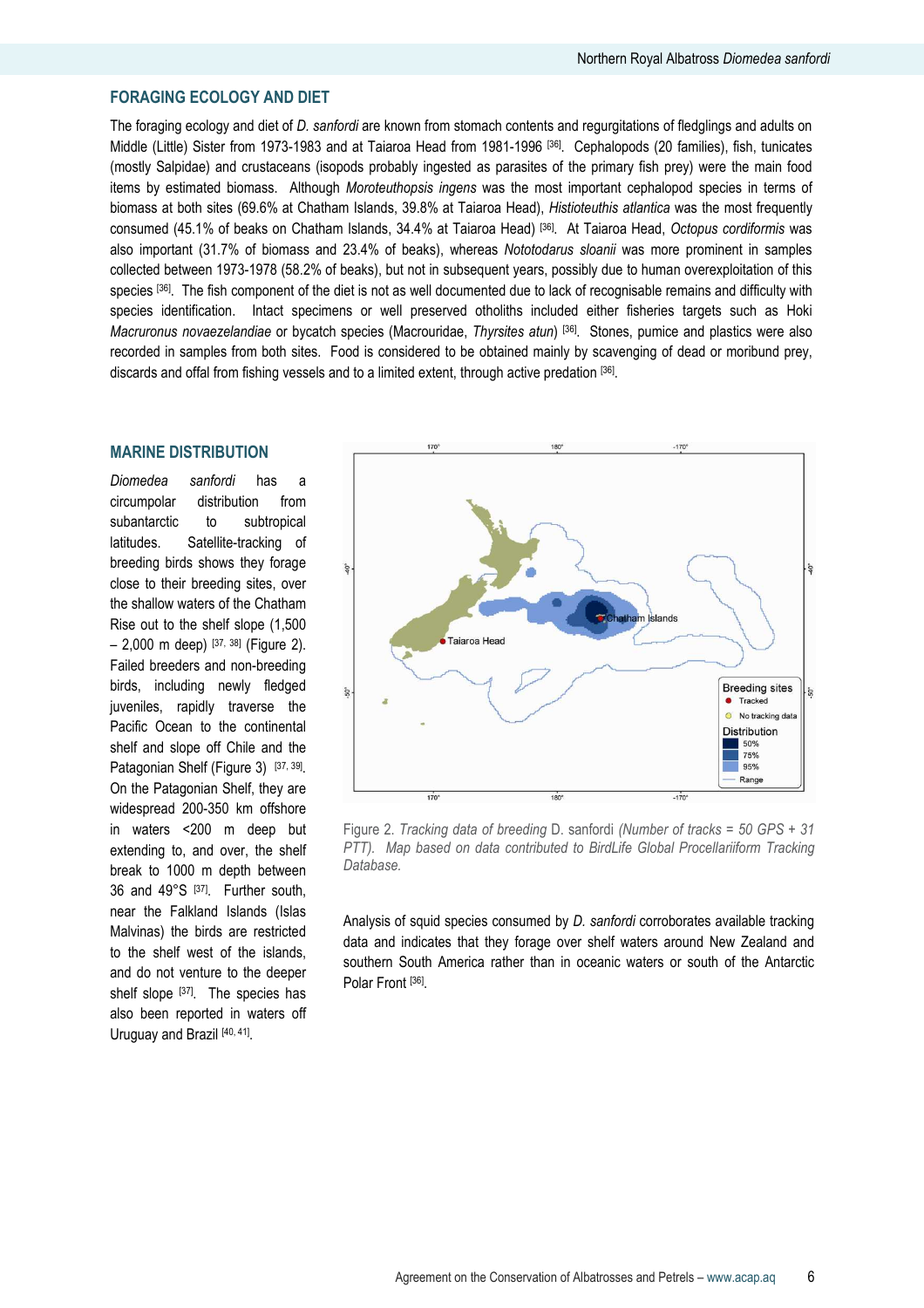## FORAGING ECOLOGY AND DIET

The foraging ecology and diet of D. sanfordi are known from stomach contents and regurgitations of fledglings and adults on Middle (Little) Sister from 1973-1983 and at Taiaroa Head from 1981-1996 [36]. Cephalopods (20 families), fish, tunicates (mostly Salpidae) and crustaceans (isopods probably ingested as parasites of the primary fish prey) were the main food items by estimated biomass. Although Moroteuthopsis ingens was the most important cephalopod species in terms of biomass at both sites (69.6% at Chatham Islands, 39.8% at Taiaroa Head), Histioteuthis atlantica was the most frequently consumed (45.1% of beaks on Chatham Islands, 34.4% at Taiaroa Head) [36]. At Taiaroa Head, Octopus cordiformis was also important (31.7% of biomass and 23.4% of beaks), whereas Nototodarus sloanii was more prominent in samples collected between 1973-1978 (58.2% of beaks), but not in subsequent years, possibly due to human overexploitation of this species [36]. The fish component of the diet is not as well documented due to lack of recognisable remains and difficulty with species identification. Intact specimens or well preserved otholiths included either fisheries targets such as Hoki Macruronus novaezelandiae or bycatch species (Macrouridae, Thyrsites atun) [36]. Stones, pumice and plastics were also recorded in samples from both sites. Food is considered to be obtained mainly by scavenging of dead or moribund prey, discards and offal from fishing vessels and to a limited extent, through active predation [36].

#### MARINE DISTRIBUTION

Diomedea sanfordi has a circumpolar distribution from subantarctic to subtropical latitudes. Satellite-tracking of breeding birds shows they forage close to their breeding sites, over the shallow waters of the Chatham Rise out to the shelf slope (1,500  $-$  2,000 m deep)  $[37, 38]$  (Figure 2). Failed breeders and non-breeding birds, including newly fledged juveniles, rapidly traverse the Pacific Ocean to the continental shelf and slope off Chile and the Patagonian Shelf (Figure 3) [37, 39]. On the Patagonian Shelf, they are widespread 200-350 km offshore in waters <200 m deep but extending to, and over, the shelf break to 1000 m depth between 36 and 49°S [37]. Further south, near the Falkland Islands (Islas Malvinas) the birds are restricted to the shelf west of the islands, and do not venture to the deeper shelf slope [37]. The species has also been reported in waters off Uruguay and Brazil [40, 41].



Figure 2. Tracking data of breeding D. sanfordi (Number of tracks = 50 GPS + 31 PTT). Map based on data contributed to BirdLife Global Procellariiform Tracking Database.

Analysis of squid species consumed by D. sanfordi corroborates available tracking data and indicates that they forage over shelf waters around New Zealand and southern South America rather than in oceanic waters or south of the Antarctic Polar Front [36].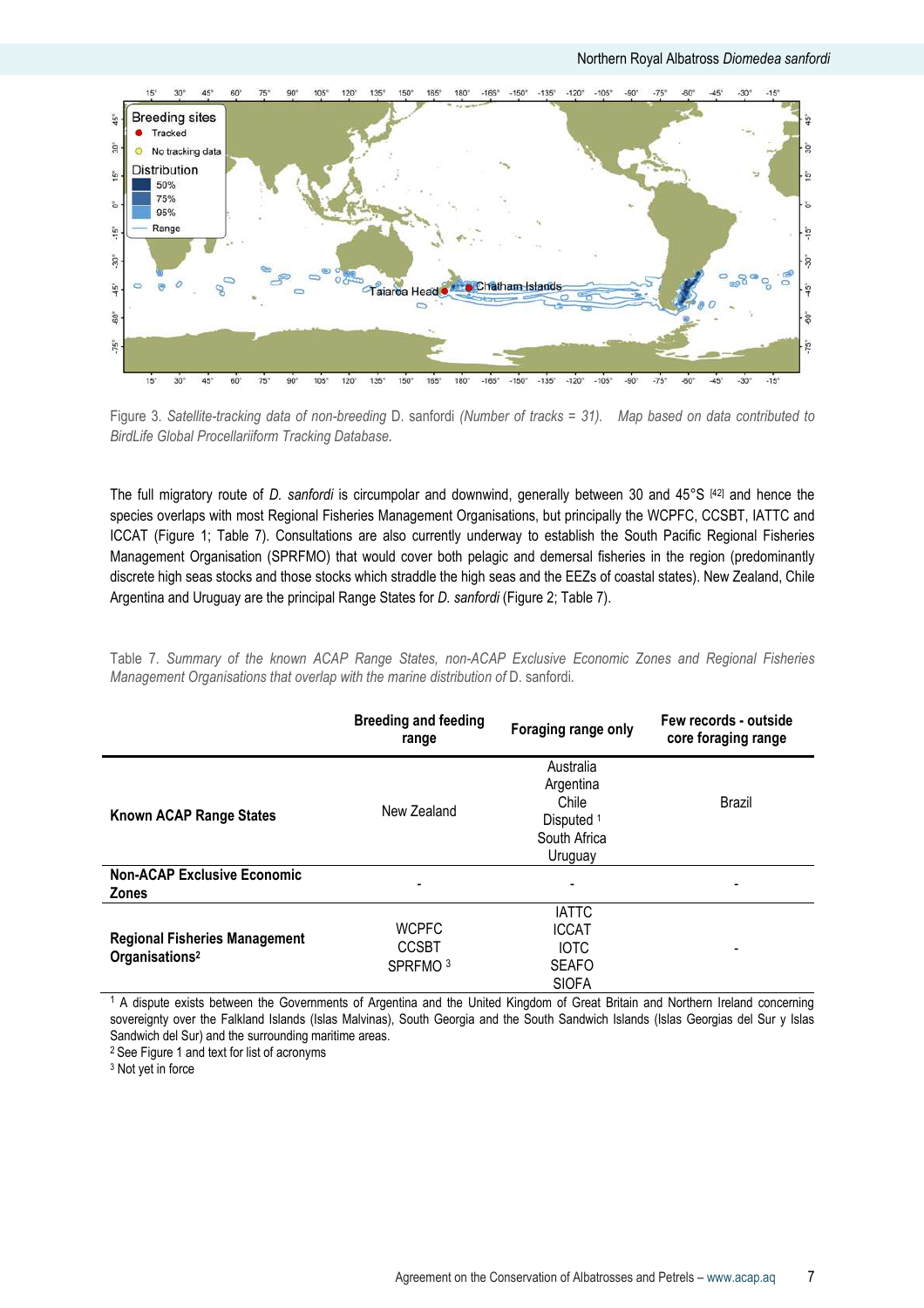

Figure 3. Satellite-tracking data of non-breeding D. sanfordi (Number of tracks = 31). Map based on data contributed to BirdLife Global Procellariiform Tracking Database.

The full migratory route of D. sanfordi is circumpolar and downwind, generally between 30 and 45°S [42] and hence the species overlaps with most Regional Fisheries Management Organisations, but principally the WCPFC, CCSBT, IATTC and ICCAT (Figure 1; Table 7). Consultations are also currently underway to establish the South Pacific Regional Fisheries Management Organisation (SPRFMO) that would cover both pelagic and demersal fisheries in the region (predominantly discrete high seas stocks and those stocks which straddle the high seas and the EEZs of coastal states). New Zealand, Chile Argentina and Uruguay are the principal Range States for D. sanfordi (Figure 2; Table 7).

Table 7. Summary of the known ACAP Range States, non-ACAP Exclusive Economic Zones and Regional Fisheries Management Organisations that overlap with the marine distribution of D. sanfordi.

|                                                                    | <b>Breeding and feeding</b><br>range                | Foraging range only                                                                 | Few records - outside<br>core foraging range |
|--------------------------------------------------------------------|-----------------------------------------------------|-------------------------------------------------------------------------------------|----------------------------------------------|
| Known ACAP Range States                                            | New Zealand                                         | Australia<br>Argentina<br>Chile<br>Disputed <sup>1</sup><br>South Africa<br>Uruguay | Brazil                                       |
| <b>Non-ACAP Exclusive Economic</b><br><b>Zones</b>                 | ۰                                                   | $\overline{a}$                                                                      | $\overline{\phantom{a}}$                     |
| <b>Regional Fisheries Management</b><br>Organisations <sup>2</sup> | <b>WCPFC</b><br><b>CCSBT</b><br>SPRFMO <sup>3</sup> | <b>IATTC</b><br><b>ICCAT</b><br><b>IOTC</b><br><b>SEAFO</b><br><b>SIOFA</b>         | $\overline{\phantom{a}}$                     |

1 A dispute exists between the Governments of Argentina and the United Kingdom of Great Britain and Northern Ireland concerning sovereignty over the Falkland Islands (Islas Malvinas), South Georgia and the South Sandwich Islands (Islas Georgias del Sur y Islas Sandwich del Sur) and the surrounding maritime areas.

<sup>2</sup> See Figure 1 and text for list of acronyms

3 Not yet in force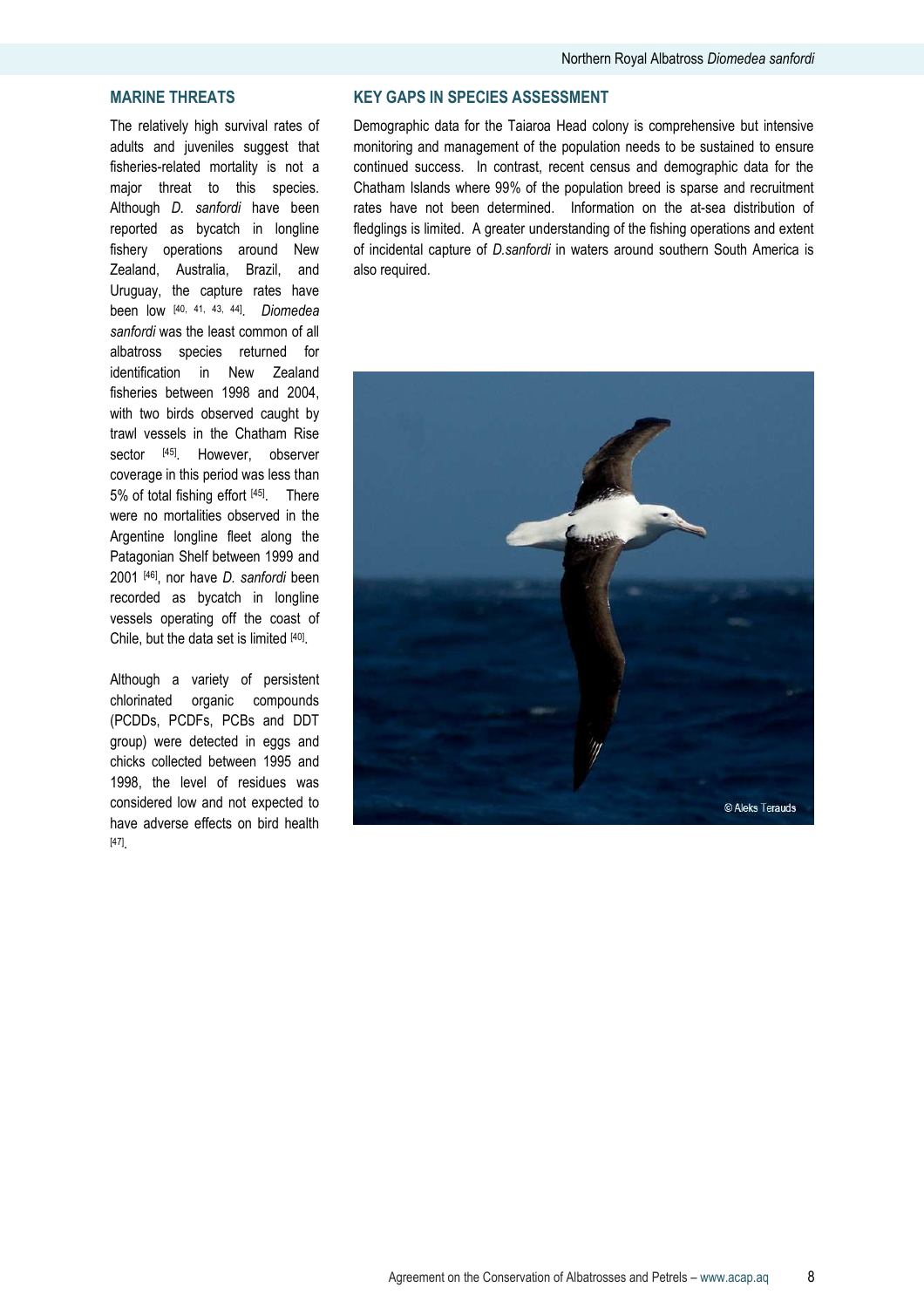## MARINE THREATS

The relatively high survival rates of adults and juveniles suggest that fisheries-related mortality is not a major threat to this species. Although D. sanfordi have been reported as bycatch in longline fishery operations around New Zealand, Australia, Brazil, and Uruguay, the capture rates have been low [40, 41, 43, 44]. Diomedea sanfordi was the least common of all albatross species returned for identification in New Zealand fisheries between 1998 and 2004, with two birds observed caught by trawl vessels in the Chatham Rise sector [45]. However, observer coverage in this period was less than 5% of total fishing effort [45]. There were no mortalities observed in the Argentine longline fleet along the Patagonian Shelf between 1999 and 2001 [46], nor have *D. sanfordi* been recorded as bycatch in longline vessels operating off the coast of Chile, but the data set is limited [40].

Although a variety of persistent chlorinated organic compounds (PCDDs, PCDFs, PCBs and DDT group) were detected in eggs and chicks collected between 1995 and 1998, the level of residues was considered low and not expected to have adverse effects on bird health [47] .

## KEY GAPS IN SPECIES ASSESSMENT

Demographic data for the Taiaroa Head colony is comprehensive but intensive monitoring and management of the population needs to be sustained to ensure continued success. In contrast, recent census and demographic data for the Chatham Islands where 99% of the population breed is sparse and recruitment rates have not been determined. Information on the at-sea distribution of fledglings is limited. A greater understanding of the fishing operations and extent of incidental capture of D.sanfordi in waters around southern South America is also required.

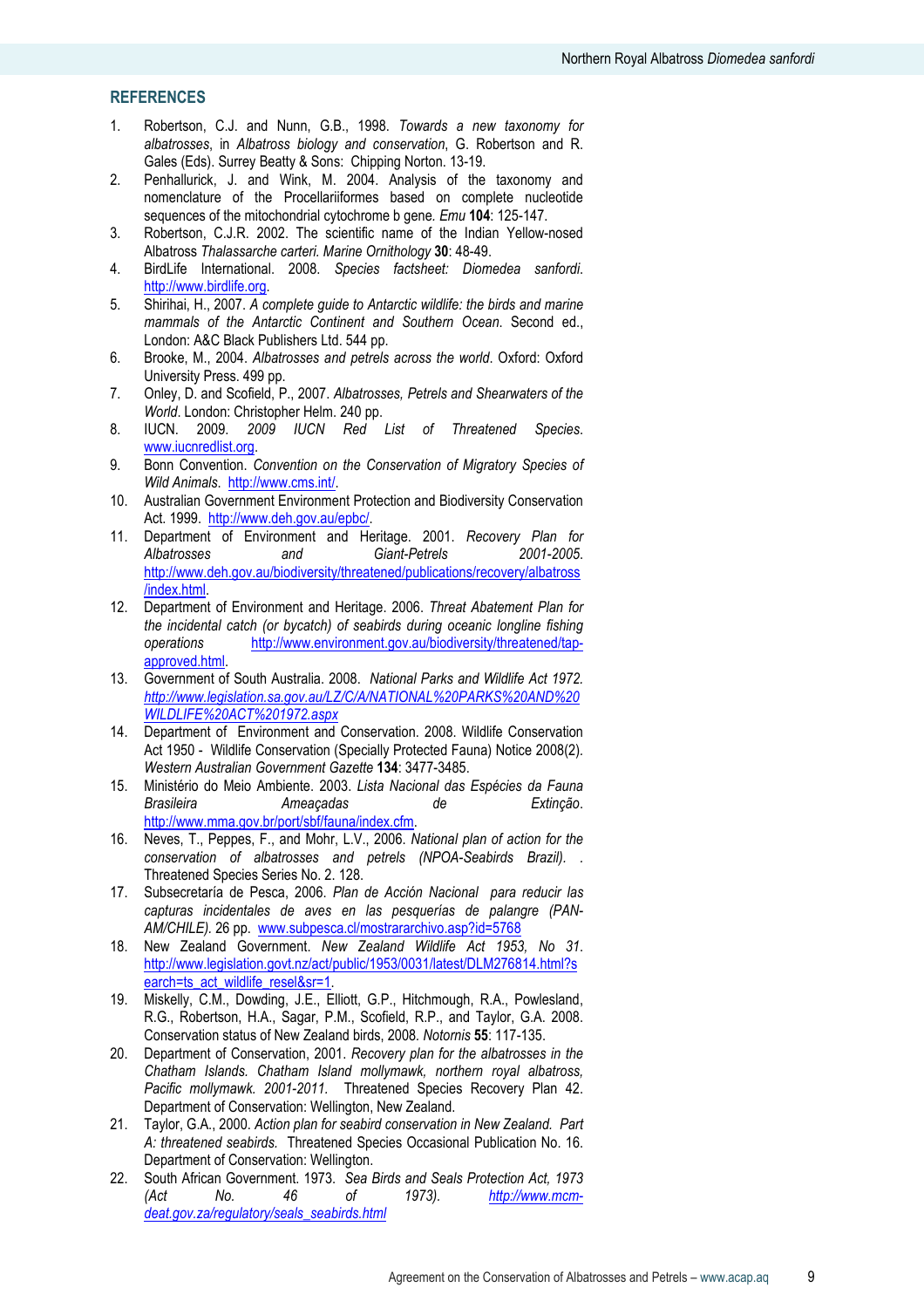## **REFERENCES**

- 1. Robertson, C.J. and Nunn, G.B., 1998. Towards a new taxonomy for albatrosses, in Albatross biology and conservation, G. Robertson and R. Gales (Eds). Surrey Beatty & Sons: Chipping Norton. 13-19.
- 2. Penhallurick, J. and Wink, M. 2004. Analysis of the taxonomy and nomenclature of the Procellariiformes based on complete nucleotide sequences of the mitochondrial cytochrome b gene. Emu 104: 125-147.
- 3. Robertson, C.J.R. 2002. The scientific name of the Indian Yellow-nosed Albatross Thalassarche carteri. Marine Ornithology 30: 48-49.
- 4. BirdLife International. 2008. Species factsheet: Diomedea sanfordi. http://www.birdlife.org.
- 5. Shirihai, H., 2007. A complete guide to Antarctic wildlife: the birds and marine mammals of the Antarctic Continent and Southern Ocean. Second ed., London: A&C Black Publishers Ltd. 544 pp.
- 6. Brooke, M., 2004. Albatrosses and petrels across the world. Oxford: Oxford University Press. 499 pp.
- 7. Onley, D. and Scofield, P., 2007. Albatrosses, Petrels and Shearwaters of the World. London: Christopher Helm. 240 pp.
- 8. IUCN. 2009. 2009 IUCN Red List of Threatened Species. www.iucnredlist.org.
- 9. Bonn Convention. Convention on the Conservation of Migratory Species of Wild Animals. http://www.cms.int/.
- 10. Australian Government Environment Protection and Biodiversity Conservation Act. 1999. http://www.deh.gov.au/epbc/.
- 11. Department of Environment and Heritage. 2001. Recovery Plan for<br>Albatrosses and Giant-Petrels 2001-2005. and Giant-Petrels http://www.deh.gov.au/biodiversity/threatened/publications/recovery/albatross /index.html.
- 12. Department of Environment and Heritage. 2006. Threat Abatement Plan for the incidental catch (or bycatch) of seabirds during oceanic longline fishing operations http://www.environment.gov.au/biodiversity/threatened/tapapproved.html.
- 13. Government of South Australia. 2008. National Parks and Wildlife Act 1972. http://www.legislation.sa.gov.au/LZ/C/A/NATIONAL%20PARKS%20AND%20 WILDLIFE%20ACT%201972.aspx
- 14. Department of Environment and Conservation. 2008. Wildlife Conservation Act 1950 - Wildlife Conservation (Specially Protected Fauna) Notice 2008(2). Western Australian Government Gazette 134: 3477-3485.
- 15. Ministério do Meio Ambiente. 2003. Lista Nacional das Espécies da Fauna Brasileira **Ameaçadas** de Extinção. http://www.mma.gov.br/port/sbf/fauna/index.cfm.
- 16. Neves, T., Peppes, F., and Mohr, L.V., 2006. National plan of action for the conservation of albatrosses and petrels (NPOA-Seabirds Brazil). . Threatened Species Series No. 2. 128.
- 17. Subsecretaría de Pesca, 2006. Plan de Acción Nacional para reducir las capturas incidentales de aves en las pesquerías de palangre (PAN-AM/CHILE). 26 pp. www.subpesca.cl/mostrararchivo.asp?id=5768
- 18. New Zealand Government. New Zealand Wildlife Act 1953, No 31. http://www.legislation.govt.nz/act/public/1953/0031/latest/DLM276814.html?s earch=ts\_act\_wildlife\_resel&sr=1.
- 19. Miskelly, C.M., Dowding, J.E., Elliott, G.P., Hitchmough, R.A., Powlesland, R.G., Robertson, H.A., Sagar, P.M., Scofield, R.P., and Taylor, G.A. 2008. Conservation status of New Zealand birds, 2008. Notornis 55: 117-135.
- 20. Department of Conservation, 2001. Recovery plan for the albatrosses in the Chatham Islands. Chatham Island mollymawk, northern royal albatross, Pacific mollymawk. 2001-2011. Threatened Species Recovery Plan 42. Department of Conservation: Wellington, New Zealand.
- 21. Taylor, G.A., 2000. Action plan for seabird conservation in New Zealand. Part A: threatened seabirds. Threatened Species Occasional Publication No. 16. Department of Conservation: Wellington.
- 22. South African Government. 1973. Sea Birds and Seals Protection Act, 1973 (Act No. 46 of 1973). http://www.mcmdeat.gov.za/regulatory/seals\_seabirds.html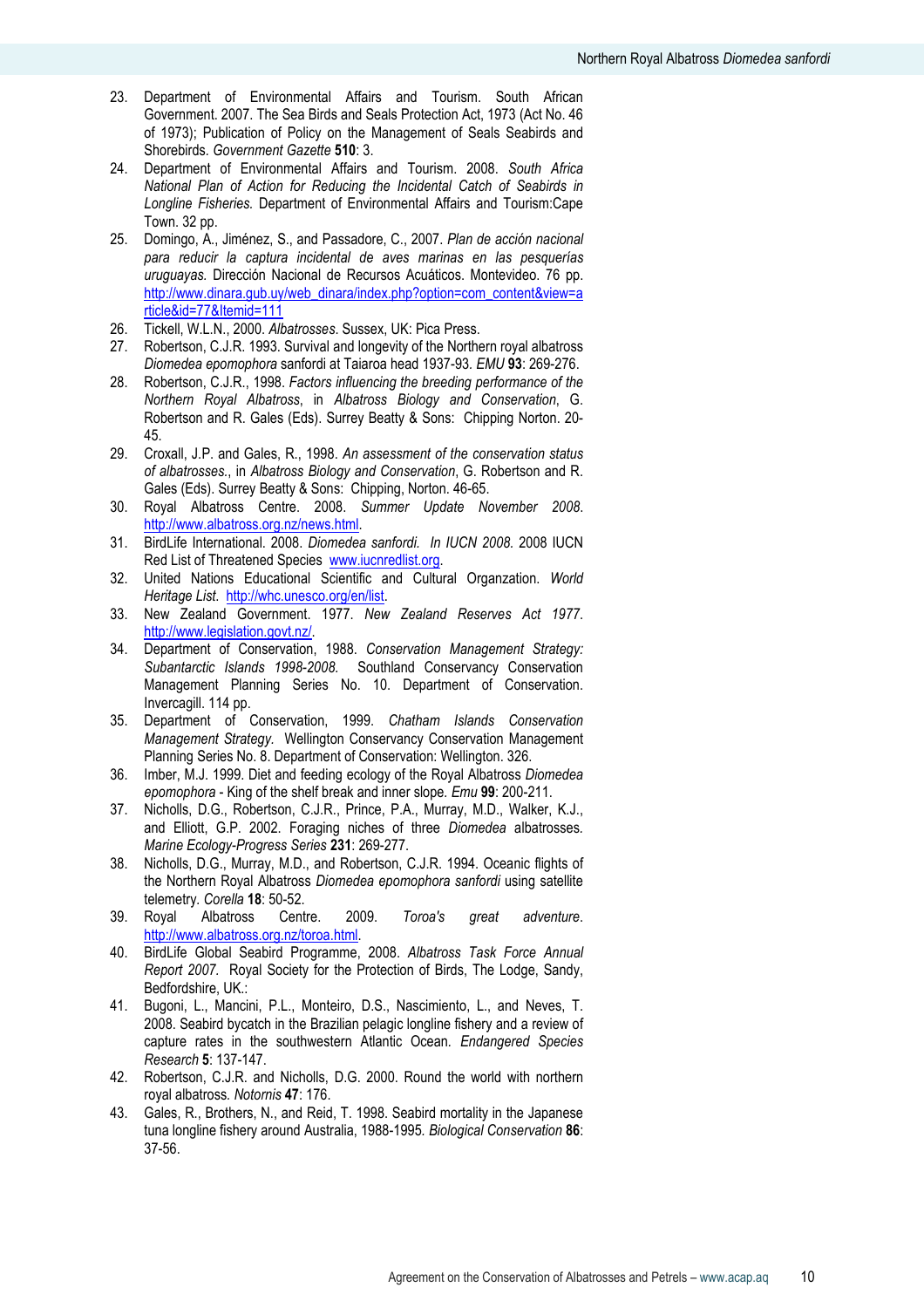- 23. Department of Environmental Affairs and Tourism. South African Government. 2007. The Sea Birds and Seals Protection Act, 1973 (Act No. 46 of 1973); Publication of Policy on the Management of Seals Seabirds and Shorebirds. Government Gazette 510: 3.
- 24. Department of Environmental Affairs and Tourism. 2008. South Africa National Plan of Action for Reducing the Incidental Catch of Seabirds in Longline Fisheries. Department of Environmental Affairs and Tourism:Cape Town. 32 pp.
- 25. Domingo, A., Jiménez, S., and Passadore, C., 2007. Plan de acción nacional para reducir la captura incidental de aves marinas en las pesquerías uruguayas. Dirección Nacional de Recursos Acuáticos. Montevideo. 76 pp. http://www.dinara.gub.uy/web\_dinara/index.php?option=com\_content&view=a rticle&id=77&Itemid=111
- 26. Tickell, W.L.N., 2000. Albatrosses. Sussex, UK: Pica Press.
- 27. Robertson, C.J.R. 1993. Survival and longevity of the Northern royal albatross Diomedea epomophora sanfordi at Taiaroa head 1937-93. EMU 93: 269-276.
- 28. Robertson, C.J.R., 1998. Factors influencing the breeding performance of the Northern Royal Albatross, in Albatross Biology and Conservation, G. Robertson and R. Gales (Eds). Surrey Beatty & Sons: Chipping Norton. 20- 45.
- 29. Croxall, J.P. and Gales, R., 1998. An assessment of the conservation status of albatrosses., in Albatross Biology and Conservation, G. Robertson and R. Gales (Eds). Surrey Beatty & Sons: Chipping, Norton. 46-65.
- 30. Royal Albatross Centre. 2008. Summer Update November 2008. http://www.albatross.org.nz/news.html.
- 31. BirdLife International. 2008. Diomedea sanfordi. In IUCN 2008. 2008 IUCN Red List of Threatened Species www.iucnredlist.org.
- 32. United Nations Educational Scientific and Cultural Organzation. World Heritage List. http://whc.unesco.org/en/list.
- 33. New Zealand Government. 1977. New Zealand Reserves Act 1977. http://www.legislation.govt.nz/.
- 34. Department of Conservation, 1988. Conservation Management Strategy: Subantarctic Islands 1998-2008. Southland Conservancy Conservation Management Planning Series No. 10. Department of Conservation. Invercagill. 114 pp.
- 35. Department of Conservation, 1999. Chatham Islands Conservation Management Strategy. Wellington Conservancy Conservation Management Planning Series No. 8. Department of Conservation: Wellington. 326.
- 36. Imber, M.J. 1999. Diet and feeding ecology of the Royal Albatross Diomedea epomophora - King of the shelf break and inner slope. Emu 99: 200-211.
- 37. Nicholls, D.G., Robertson, C.J.R., Prince, P.A., Murray, M.D., Walker, K.J., and Elliott. G.P. 2002. Foraging niches of three *Diomedea* albatrosses. Marine Ecology-Progress Series 231: 269-277.
- 38. Nicholls, D.G., Murray, M.D., and Robertson, C.J.R. 1994. Oceanic flights of the Northern Royal Albatross Diomedea epomophora sanfordi using satellite telemetry. Corella 18: 50-52.
- 39. Royal Albatross Centre. 2009. Toroa's great adventure. http://www.albatross.org.nz/toroa.html.
- 40. BirdLife Global Seabird Programme, 2008. Albatross Task Force Annual Report 2007. Royal Society for the Protection of Birds, The Lodge, Sandy, Bedfordshire, UK.:
- 41. Bugoni, L., Mancini, P.L., Monteiro, D.S., Nascimiento, L., and Neves, T. 2008. Seabird bycatch in the Brazilian pelagic longline fishery and a review of capture rates in the southwestern Atlantic Ocean. Endangered Species Research 5: 137-147.
- 42. Robertson, C.J.R. and Nicholls, D.G. 2000. Round the world with northern royal albatross. Notornis 47: 176.
- 43. Gales, R., Brothers, N., and Reid, T. 1998. Seabird mortality in the Japanese tuna longline fishery around Australia, 1988-1995. Biological Conservation 86: 37-56.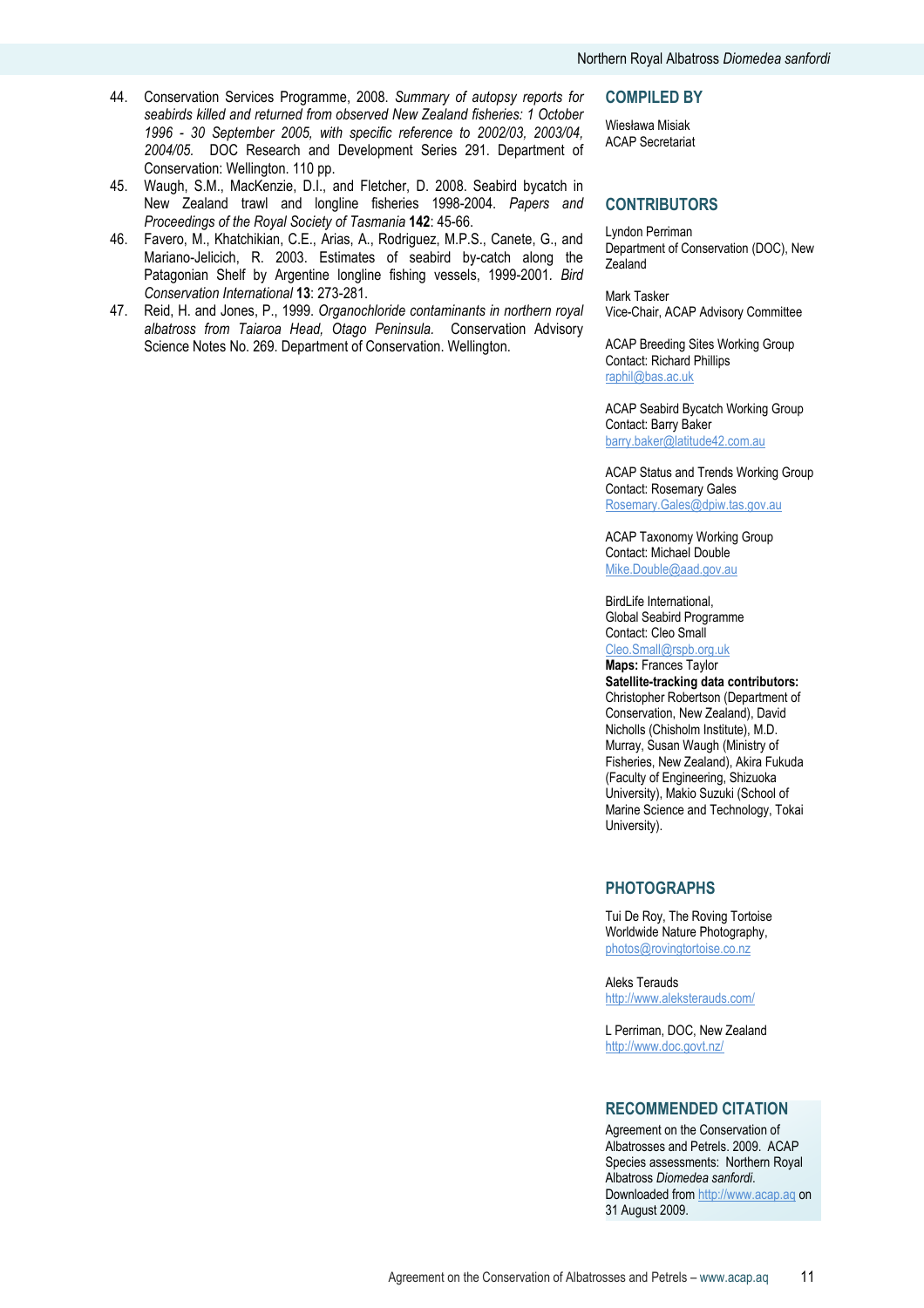- 44. Conservation Services Programme, 2008. Summary of autopsy reports for seabirds killed and returned from observed New Zealand fisheries: 1 October 1996 - 30 September 2005, with specific reference to 2002/03, 2003/04, 2004/05. DOC Research and Development Series 291. Department of Conservation: Wellington. 110 pp.
- 45. Waugh, S.M., MacKenzie, D.I., and Fletcher, D. 2008. Seabird bycatch in New Zealand trawl and longline fisheries 1998-2004. Papers and Proceedings of the Royal Society of Tasmania 142: 45-66.
- 46. Favero, M., Khatchikian, C.E., Arias, A., Rodriguez, M.P.S., Canete, G., and Mariano-Jelicich, R. 2003. Estimates of seabird by-catch along the Patagonian Shelf by Argentine longline fishing vessels, 1999-2001. Bird Conservation International 13: 273-281.
- 47. Reid, H. and Jones, P., 1999. Organochloride contaminants in northern royal albatross from Taiaroa Head, Otago Peninsula. Conservation Advisory Science Notes No. 269. Department of Conservation. Wellington.

#### COMPILED BY

Wiesława Misiak ACAP Secretariat

#### **CONTRIBUTORS**

Lyndon Perriman Department of Conservation (DOC), New Zealand

Mark Tasker Vice-Chair, ACAP Advisory Committee

ACAP Breeding Sites Working Group Contact: Richard Phillips raphil@bas.ac.uk

ACAP Seabird Bycatch Working Group Contact: Barry Baker barry.baker@latitude42.com.au

ACAP Status and Trends Working Group Contact: Rosemary Gales Rosemary.Gales@dpiw.tas.gov.au

ACAP Taxonomy Working Group Contact: Michael Double Mike.Double@aad.gov.au

BirdLife International, Global Seabird Programme Contact: Cleo Small Cleo.Small@rspb.org.uk

Maps: Frances Taylor Satellite-tracking data contributors: Christopher Robertson (Department of Conservation, New Zealand), David Nicholls (Chisholm Institute), M.D. Murray, Susan Waugh (Ministry of Fisheries, New Zealand), Akira Fukuda (Faculty of Engineering, Shizuoka University), Makio Suzuki (School of Marine Science and Technology, Tokai University).

#### PHOTOGRAPHS

Tui De Roy, The Roving Tortoise Worldwide Nature Photography, photos@rovingtortoise.co.nz

Aleks Terauds http://www.aleksterauds.com/

L Perriman, DOC, New Zealand http://www.doc.govt.nz/

## RECOMMENDED CITATION

Agreement on the Conservation of Albatrosses and Petrels. 2009. ACAP Species assessments: Northern Royal Albatross Diomedea sanfordi. Downloaded from http://www.acap.aq on 31 August 2009.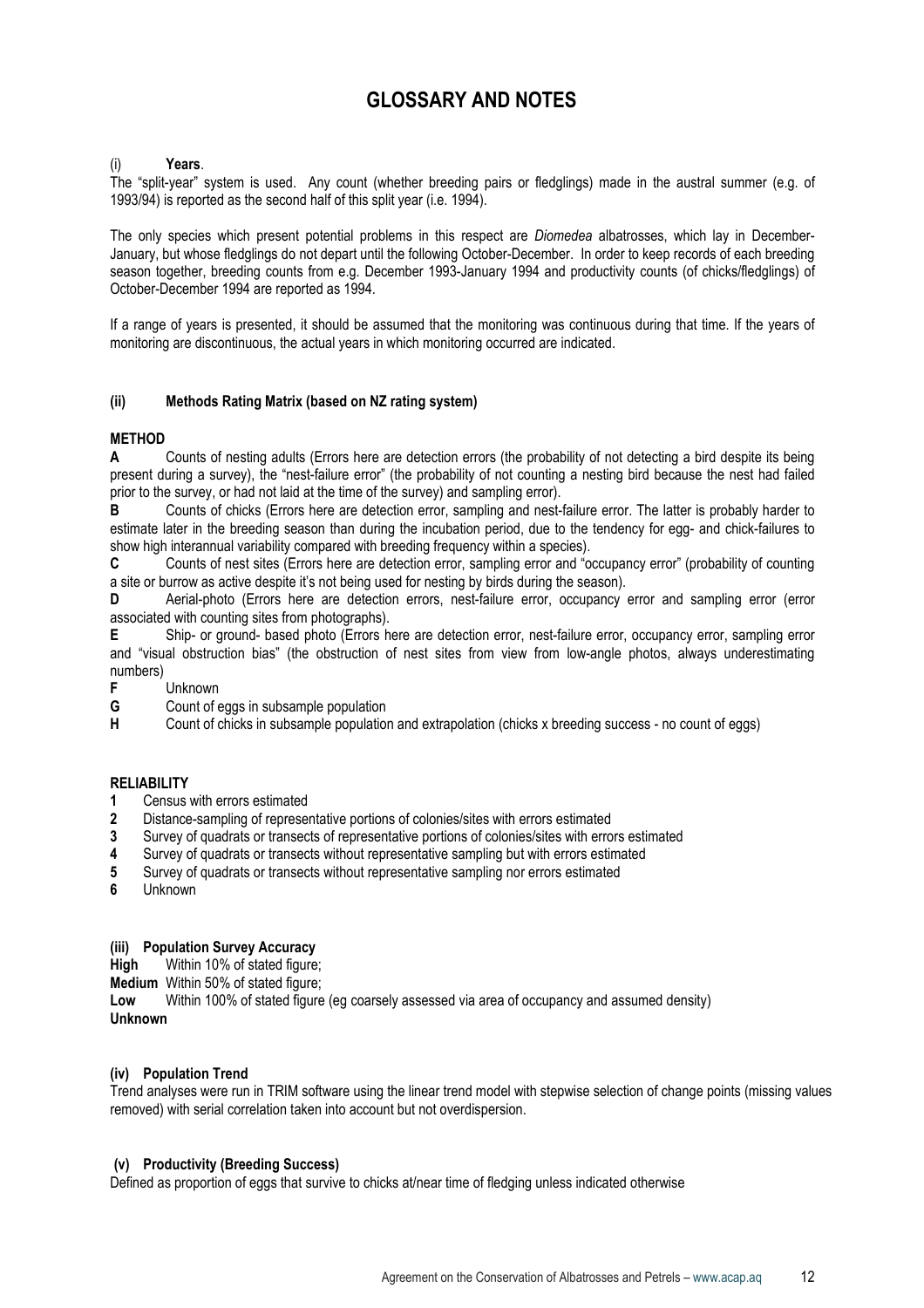## GLOSSARY AND NOTES

#### Years.

The "split-year" system is used. Any count (whether breeding pairs or fledglings) made in the austral summer (e.g. of 1993/94) is reported as the second half of this split year (i.e. 1994).

The only species which present potential problems in this respect are *Diomedea* albatrosses, which lay in December-January, but whose fledglings do not depart until the following October-December. In order to keep records of each breeding season together, breeding counts from e.g. December 1993-January 1994 and productivity counts (of chicks/fledglings) of October-December 1994 are reported as 1994.

If a range of years is presented, it should be assumed that the monitoring was continuous during that time. If the years of monitoring are discontinuous, the actual years in which monitoring occurred are indicated.

## (ii) Methods Rating Matrix (based on NZ rating system)

## **METHOD**

A Counts of nesting adults (Errors here are detection errors (the probability of not detecting a bird despite its being present during a survey), the "nest-failure error" (the probability of not counting a nesting bird because the nest had failed prior to the survey, or had not laid at the time of the survey) and sampling error).

B Counts of chicks (Errors here are detection error, sampling and nest-failure error. The latter is probably harder to estimate later in the breeding season than during the incubation period, due to the tendency for egg- and chick-failures to show high interannual variability compared with breeding frequency within a species).

C Counts of nest sites (Errors here are detection error, sampling error and "occupancy error" (probability of counting a site or burrow as active despite it's not being used for nesting by birds during the season).

D Aerial-photo (Errors here are detection errors, nest-failure error, occupancy error and sampling error (error associated with counting sites from photographs).

E Ship- or ground- based photo (Errors here are detection error, nest-failure error, occupancy error, sampling error and "visual obstruction bias" (the obstruction of nest sites from view from low-angle photos, always underestimating numbers)

**F** Unknown<br>**G** Count of e

**G** Count of eggs in subsample population<br> **H** Count of chicks in subsample population

Count of chicks in subsample population and extrapolation (chicks x breeding success - no count of eggs)

## **RELIABILITY**

- 1 Census with errors estimated
- 2 Distance-sampling of representative portions of colonies/sites with errors estimated
- 3 Survey of quadrats or transects of representative portions of colonies/sites with errors estimated
- 4 Survey of quadrats or transects without representative sampling but with errors estimated
- 5 Survey of quadrats or transects without representative sampling nor errors estimated
- 6 Unknown

#### (iii) Population Survey Accuracy

High Within 10% of stated figure;

Medium Within 50% of stated figure;

Low Within 100% of stated figure (eg coarsely assessed via area of occupancy and assumed density) Unknown

#### (iv) Population Trend

Trend analyses were run in TRIM software using the linear trend model with stepwise selection of change points (missing values removed) with serial correlation taken into account but not overdispersion.

#### (v) Productivity (Breeding Success)

Defined as proportion of eggs that survive to chicks at/near time of fledging unless indicated otherwise